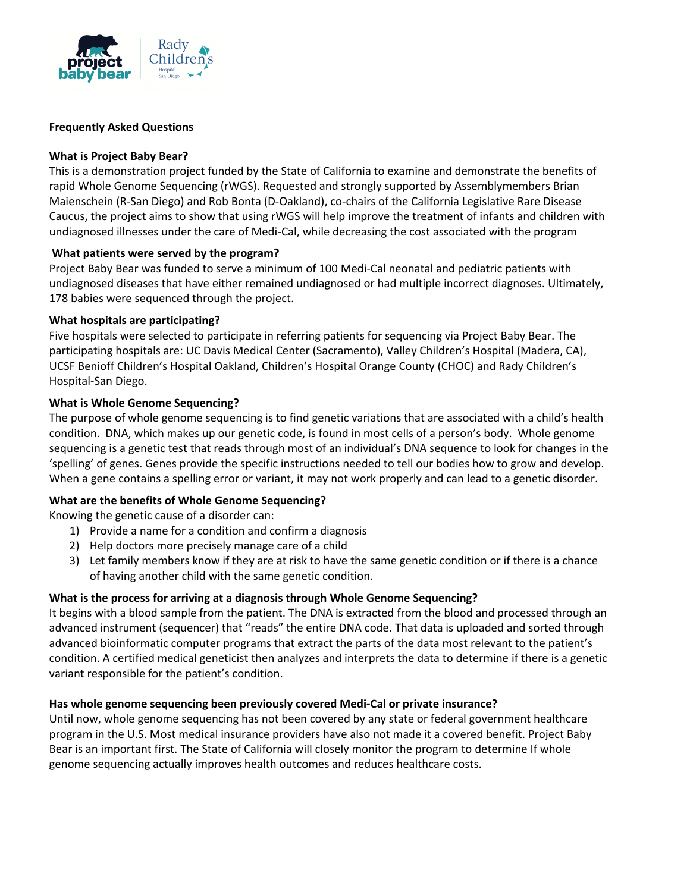

### **Frequently Asked Questions**

### **What is Project Baby Bear?**

This is a demonstration project funded by the State of California to examine and demonstrate the benefits of rapid Whole Genome Sequencing (rWGS). Requested and strongly supported by Assemblymembers Brian Maienschein (R-San Diego) and Rob Bonta (D-Oakland), co-chairs of the California Legislative Rare Disease Caucus, the project aims to show that using rWGS will help improve the treatment of infants and children with undiagnosed illnesses under the care of Medi-Cal, while decreasing the cost associated with the program

## **What patients were served by the program?**

Project Baby Bear was funded to serve a minimum of 100 Medi-Cal neonatal and pediatric patients with undiagnosed diseases that have either remained undiagnosed or had multiple incorrect diagnoses. Ultimately, 178 babies were sequenced through the project.

## **What hospitals are participating?**

Five hospitals were selected to participate in referring patients for sequencing via Project Baby Bear. The participating hospitals are: UC Davis Medical Center (Sacramento), Valley Children's Hospital (Madera, CA), UCSF Benioff Children's Hospital Oakland, Children's Hospital Orange County (CHOC) and Rady Children's Hospital-San Diego.

## **What is Whole Genome Sequencing?**

The purpose of whole genome sequencing is to find genetic variations that are associated with a child's health condition. DNA, which makes up our genetic code, is found in most cells of a person's body. Whole genome sequencing is a genetic test that reads through most of an individual's DNA sequence to look for changes in the 'spelling' of genes. Genes provide the specific instructions needed to tell our bodies how to grow and develop. When a gene contains a spelling error or variant, it may not work properly and can lead to a genetic disorder.

# **What are the benefits of Whole Genome Sequencing?**

Knowing the genetic cause of a disorder can:

- 1) Provide a name for a condition and confirm a diagnosis
- 2) Help doctors more precisely manage care of a child
- 3) Let family members know if they are at risk to have the same genetic condition or if there is a chance of having another child with the same genetic condition.

# **What is the process for arriving at a diagnosis through Whole Genome Sequencing?**

It begins with a blood sample from the patient. The DNA is extracted from the blood and processed through an advanced instrument (sequencer) that "reads" the entire DNA code. That data is uploaded and sorted through advanced bioinformatic computer programs that extract the parts of the data most relevant to the patient's condition. A certified medical geneticist then analyzes and interprets the data to determine if there is a genetic variant responsible for the patient's condition.

### **Has whole genome sequencing been previously covered Medi-Cal or private insurance?**

Until now, whole genome sequencing has not been covered by any state or federal government healthcare program in the U.S. Most medical insurance providers have also not made it a covered benefit. Project Baby Bear is an important first. The State of California will closely monitor the program to determine If whole genome sequencing actually improves health outcomes and reduces healthcare costs.